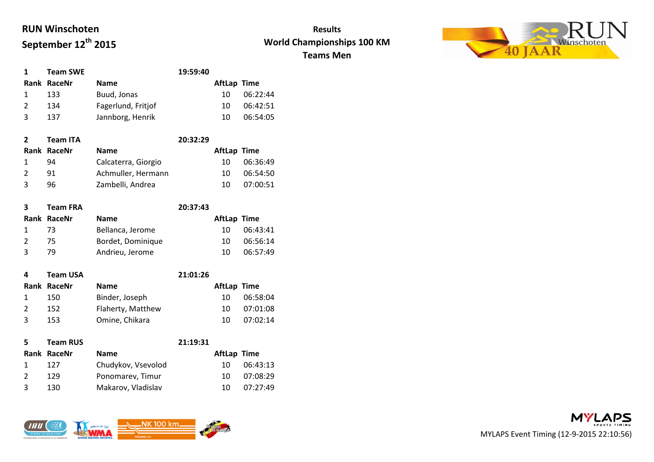

| <b>Team SWE</b> |                    | 19:59:40 |                    |          |
|-----------------|--------------------|----------|--------------------|----------|
| Rank RaceNr     | <b>Name</b>        |          | <b>AftLap Time</b> |          |
| 133             | Buud, Jonas        |          | 10                 | 06:22:44 |
| 134             | Fagerlund, Fritjof |          | 10                 | 06:42:51 |
| 137             | Jannborg, Henrik   |          | 10                 | 06:54:05 |

| $\mathbf{2}$  | <b>Team ITA</b> |                     | 20:32:29 |                    |          |
|---------------|-----------------|---------------------|----------|--------------------|----------|
|               | Rank RaceNr     | <b>Name</b>         |          | <b>AftLap Time</b> |          |
|               | 94              | Calcaterra, Giorgio |          | 10.                | 06:36:49 |
| $\mathcal{L}$ | 91              | Achmuller, Hermann  |          | 10                 | 06:54:50 |
| २             | 96              | Zambelli, Andrea    |          | 10                 | 07:00:51 |
|               |                 |                     |          |                    |          |

| 3            | <b>Team FRA</b> |                   | 20:37:43 |                    |          |
|--------------|-----------------|-------------------|----------|--------------------|----------|
|              | Rank RaceNr     | <b>Name</b>       |          | <b>AftLap Time</b> |          |
|              | -73             | Bellanca, Jerome  |          | 10.                | 06:43:41 |
|              | 75.             | Bordet, Dominique |          | 10                 | 06:56:14 |
| $\mathbf{R}$ | 79.             | Andrieu, Jerome   |          | 10                 | 06:57:49 |
|              |                 |                   |          |                    |          |

| 4 | <b>Team USA</b> |                   | 21:01:26 |             |          |
|---|-----------------|-------------------|----------|-------------|----------|
|   | Rank RaceNr     | <b>Name</b>       |          | AftLap Time |          |
|   | 150             | Binder, Joseph    |          | 10          | 06:58:04 |
|   | 152             | Flaherty, Matthew |          | 10          | 07:01:08 |
| ર | 153             | Omine, Chikara    |          | 10          | 07:02:14 |
|   |                 |                   |          |             |          |

| 5.            | <b>Team RUS</b> |                    | 21:19:31 |                    |          |
|---------------|-----------------|--------------------|----------|--------------------|----------|
|               | Rank RaceNr     | <b>Name</b>        |          | <b>AftLap Time</b> |          |
|               | 127             | Chudykov, Vsevolod |          | 10                 | 06:43:13 |
| $\mathcal{L}$ | 129             | Ponomarev, Timur   |          | 10                 | 07:08:29 |
| २             | 130             | Makarov, Vladislav |          | 10                 | 07:27:49 |



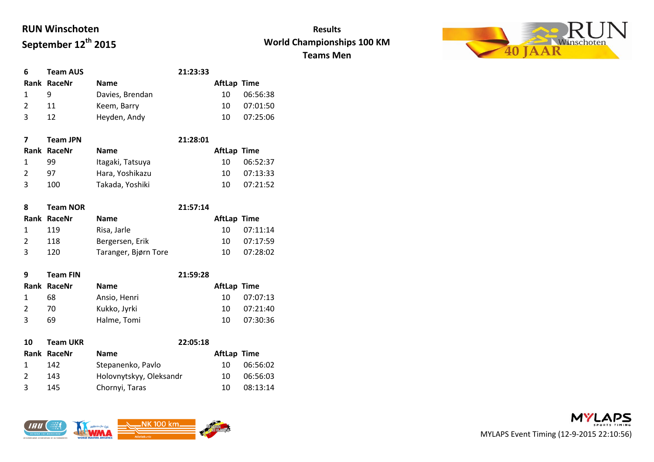

| 6 | <b>Team AUS</b> |                 | 21:23:33 |                    |          |
|---|-----------------|-----------------|----------|--------------------|----------|
|   | Rank RaceNr     | <b>Name</b>     |          | <b>AftLap Time</b> |          |
|   |                 | Davies, Brendan |          | 10                 | 06:56:38 |
|   | 11              | Keem, Barry     |          | 10                 | 07:01:50 |
|   | 12              | Heyden, Andy    |          | 10                 | 07:25:06 |

|               | <b>Team JPN</b> |                  | 21:28:01 |                    |          |
|---------------|-----------------|------------------|----------|--------------------|----------|
|               | Rank RaceNr     | <b>Name</b>      |          | <b>AftLap Time</b> |          |
|               | 99              | Itagaki, Tatsuya |          | 10                 | 06:52:37 |
| $\mathcal{L}$ | 97              | Hara, Yoshikazu  |          | 10                 | 07:13:33 |
| 3             | 100             | Takada, Yoshiki  |          | 10                 | 07:21:52 |
|               |                 |                  |          |                    |          |

| 8 | <b>Team NOR</b> |                      | 21:57:14 |                    |          |
|---|-----------------|----------------------|----------|--------------------|----------|
|   | Rank RaceNr     | <b>Name</b>          |          | <b>AftLap Time</b> |          |
|   | 119             | Risa, Jarle          |          | 10                 | 07:11:14 |
|   | 118             | Bergersen, Erik      |          | 10                 | 07:17:59 |
|   | 120             | Taranger, Bjørn Tore |          | 10                 | 07:28:02 |

| q | <b>Team FIN</b> |              | 21:59:28 |                    |          |
|---|-----------------|--------------|----------|--------------------|----------|
|   | Rank RaceNr     | <b>Name</b>  |          | <b>AftLap Time</b> |          |
|   | 68              | Ansio, Henri |          | 10                 | 07:07:13 |
|   | 70.             | Kukko, Jyrki |          | 10                 | 07:21:40 |
| 3 | 69              | Halme, Tomi  |          | 10                 | 07:30:36 |
|   |                 |              |          |                    |          |

| 10            | <b>Team UKR</b> | 22:05:18                |                    |          |
|---------------|-----------------|-------------------------|--------------------|----------|
|               | Rank RaceNr     | <b>Name</b>             | <b>AftLap Time</b> |          |
|               | 142             | Stepanenko, Pavlo       | 10.                | 06:56:02 |
| $\mathcal{L}$ | 143             | Holovnytskyy, Oleksandr | 10                 | 06:56:03 |
| 3             | 145             | Chornyi, Taras          | 10                 | 08:13:14 |



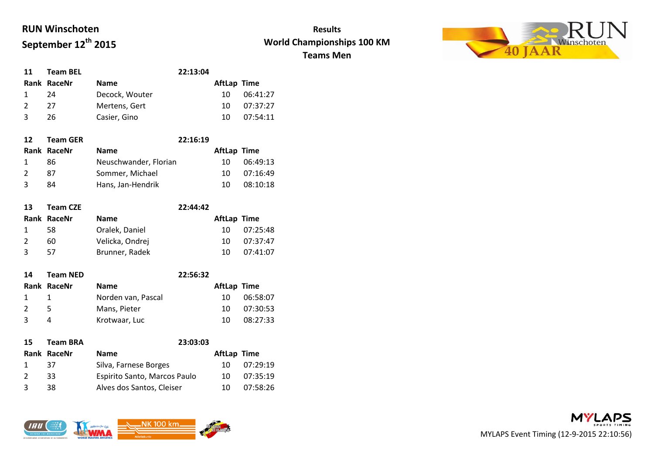

| 11            | <b>Team BEL</b> | 22:13:04       |     |  |             |
|---------------|-----------------|----------------|-----|--|-------------|
|               | Rank RaceNr     | <b>Name</b>    |     |  | AftLap Time |
|               | 24              | Decock, Wouter | 10  |  | 06:41:27    |
| $\mathcal{L}$ | 27              | Mertens, Gert  | 10. |  | 07:37:27    |
| $\mathbf{3}$  | 26              | Casier, Gino   | 10  |  | 07:54:11    |

| <b>Team GER</b> | 22:16:19              |                    |          |
|-----------------|-----------------------|--------------------|----------|
|                 | <b>Name</b>           | <b>AftLap Time</b> |          |
| 86              | Neuschwander, Florian | 10                 | 06:49:13 |
| 87              | Sommer, Michael       | 10                 | 07:16:49 |
| 84              | Hans, Jan-Hendrik     | 10                 | 08:10:18 |
|                 | Rank RaceNr           |                    |          |

| <b>Team CZE</b> |                 | 22:44:42 |             |          |
|-----------------|-----------------|----------|-------------|----------|
| Rank RaceNr     | <b>Name</b>     |          | AftLap Time |          |
| 58              | Oralek, Daniel  |          | 10.         | 07:25:48 |
| 60              | Velicka, Ondrej |          | 10.         | 07:37:47 |
| 57              | Brunner, Radek  |          | 10          | 07:41:07 |
|                 |                 |          |             |          |

| 14           | <b>Team NED</b> |                    |  |                    |          |
|--------------|-----------------|--------------------|--|--------------------|----------|
|              | Rank RaceNr     | <b>Name</b>        |  | <b>AftLap Time</b> |          |
| $\mathbf{1}$ | -1              | Norden van, Pascal |  | 10                 | 06:58:07 |
|              | 5.              | Mans, Pieter       |  | 10                 | 07:30:53 |
| ີ            | 4               | Krotwaar, Luc      |  | 10                 | 08:27:33 |
|              |                 |                    |  |                    |          |

| 15            | <b>Team BRA</b> | 23:03:03                     |                    |          |
|---------------|-----------------|------------------------------|--------------------|----------|
|               | Rank RaceNr     | <b>Name</b>                  | <b>AftLap Time</b> |          |
|               | 37              | Silva, Farnese Borges        | 10                 | 07:29:19 |
| $\mathcal{L}$ | 33              | Espirito Santo, Marcos Paulo | 10                 | 07:35:19 |
|               | 38              | Alves dos Santos, Cleiser    | 10                 | 07:58:26 |



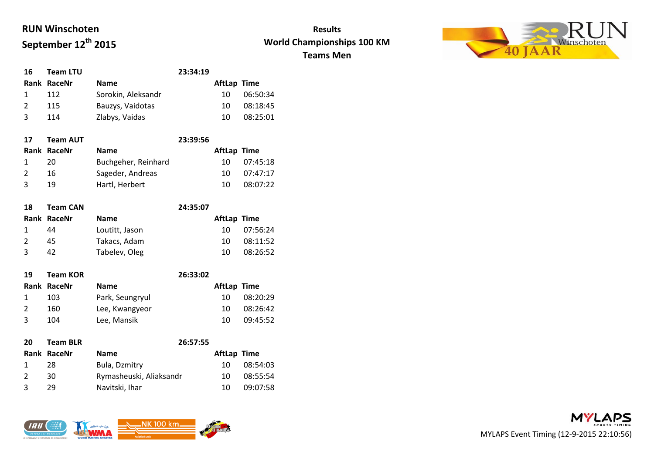

| 16            | <b>Team LTU</b> |                    | 23:34:19 |                    |          |
|---------------|-----------------|--------------------|----------|--------------------|----------|
|               | Rank RaceNr     | <b>Name</b>        |          | <b>AftLap Time</b> |          |
|               | 112             | Sorokin, Aleksandr |          | 10                 | 06:50:34 |
| $\mathcal{P}$ | 115             | Bauzys, Vaidotas   |          | 10                 | 08:18:45 |
| ર             | 114             | Zlabys, Vaidas     |          | 10                 | 08:25:01 |
|               |                 |                    |          |                    |          |

| 17            | <b>Team AUT</b> |                     | 23:39:56 |             |          |
|---------------|-----------------|---------------------|----------|-------------|----------|
|               | Rank RaceNr     | <b>Name</b>         |          | AftLap Time |          |
|               | 20              | Buchgeher, Reinhard |          | 10.         | 07:45:18 |
| $\mathcal{L}$ | 16              | Sageder, Andreas    |          | 10          | 07:47:17 |
| २             | 19              | Hartl, Herbert      |          | 10          | 08:07:22 |
|               |                 |                     |          |             |          |

| 24:35:07<br><b>Team CAN</b><br>18                |          |
|--------------------------------------------------|----------|
| <b>AftLap Time</b><br>Rank RaceNr<br><b>Name</b> |          |
| Loutitt, Jason<br>44<br>10.                      | 07:56:24 |
| Takacs, Adam<br>$\mathcal{L}$<br>45<br>10        | 08:11:52 |
| Tabelev, Oleg<br>़<br>42<br>10                   | 08:26:52 |

| 19 | <b>Team KOR</b> |                 |  |                    |          |
|----|-----------------|-----------------|--|--------------------|----------|
|    | Rank RaceNr     | <b>Name</b>     |  | <b>AftLap Time</b> |          |
|    | 103             | Park, Seungryul |  | 10                 | 08:20:29 |
|    | 160             | Lee, Kwangyeor  |  | 10                 | 08:26:42 |
| २  | 104             | Lee, Mansik     |  | 10                 | 09:45:52 |
|    |                 |                 |  |                    |          |

| 20 | <b>Team BLR</b> | 26:57:55                |                    |          |
|----|-----------------|-------------------------|--------------------|----------|
|    |                 | <b>Name</b>             | <b>AftLap Time</b> |          |
|    | 28              | Bula, Dzmitry           | 10                 | 08:54:03 |
|    | 30              | Rymasheuski, Aliaksandr | 10                 | 08:55:54 |
| ર  | 29              | Navitski, Ihar          | 10                 | 09:07:58 |
|    |                 | Rank RaceNr             |                    |          |